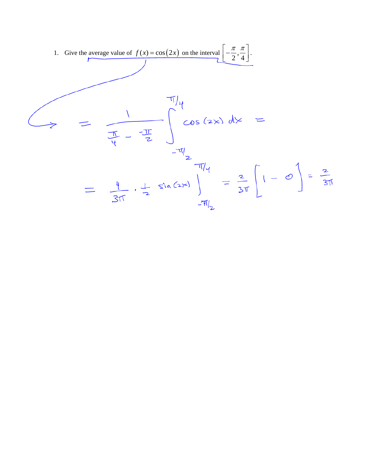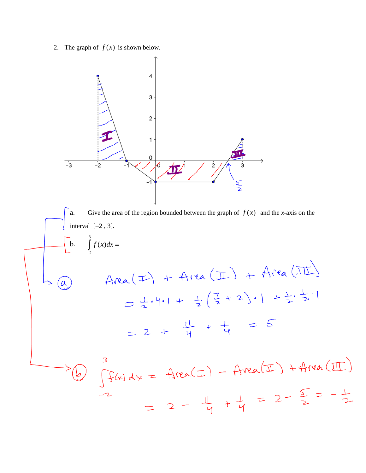2. The graph of  $f(x)$  is shown below.

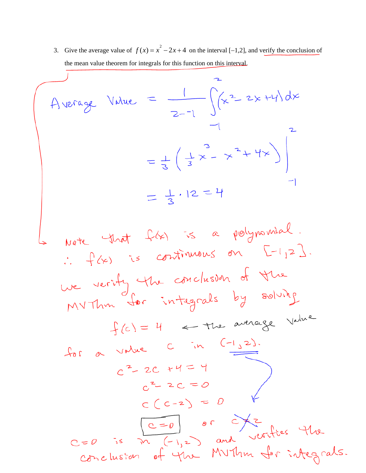3. Give the average value of  $f(x) = x^2 - 2x + 4$  on the interval [-1,2], and verify the conclusion of the mean value theorem for integrals for this function on this interval.  $\overline{1}$ 

$$
A = \frac{1}{2-1} \int_{-1}^{2} (x^2 - 2x + 4) dx
$$
  
=  $\frac{1}{3} (\frac{1}{3}x - x^2 + 4x)$   
=  $\frac{1}{3} \cdot 12 = 4$ 

Note that 
$$
f(x)
$$
 is a polynomial.  
\n $f(x)$  is continuous on  $F^{-1}123$ .  
\nwe verify the conclusion of the  
\nMVThm for integrals by solving  
\n $f(c) = 4$  = the average Value  
\n $f(c) = 4$  = the average Value  
\n $c^2 - 2c + 4 = 4$   
\n $c^2 - 2c = 0$   
\n $c^2 - 2c = 0$   
\n $c^2 - 2c = 0$   
\n $c^2 - 2c = 0$   
\n $c^2 - 2c = 0$   
\n $c^2 - 2c = 0$   
\n $c^2 - 2c = 0$   
\n $c = 0$  is  $\pi$  (-1,2) and vertices the  
\n $\pi$  and vertices the  
\n $\pi$  and vertices the  
\n $\pi$  and vertices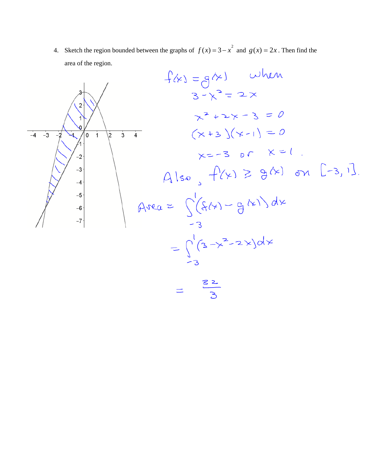4. Sketch the region bounded between the graphs of  $f(x) = 3 - x^2$  and  $g(x) = 2x$ . Then find the area of the region.

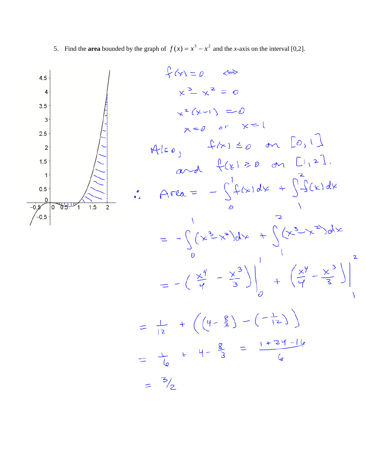5. Find the **area** bounded by the graph of  $f(x) = x^3 - x^2$  and the *x*-axis on the interval [0,2].

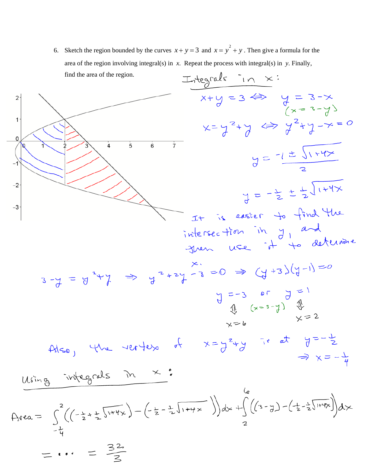6. Sketch the region bounded by the curves  $x + y = 3$  and  $x = y^2 + y$ . Then give a formula for the area of the region involving integral(s) in *x*. Repeat the process with integral(s) in *y*. Finally, find the area of the region.

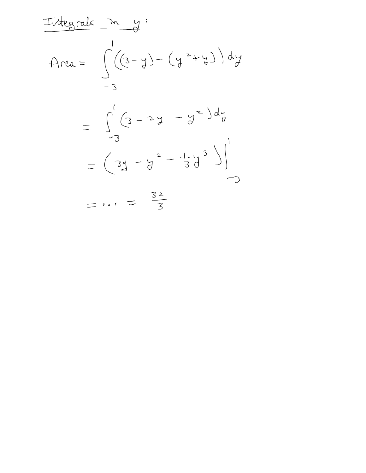| $\frac{1}{4}$  | $\frac{1}{4}$ |
|----------------|---------------|
| $\frac{1}{4}$  | $\frac{1}{4}$ |
| $\frac{1}{3}$  | $\frac{1}{3}$ |
| $\frac{1}{-3}$ |               |
| $\frac{1}{-3}$ |               |
| $\frac{1}{-3}$ |               |
| $\frac{1}{-3}$ |               |
| $\frac{1}{-3}$ |               |
| $\frac{1}{-3}$ |               |
| $\frac{1}{-3}$ |               |
| $\frac{1}{-3}$ |               |
| $\frac{1}{-3}$ |               |
| $\frac{1}{-3}$ |               |
| $\frac{1}{-3}$ |               |
| $\frac{1}{-3}$ |               |
| $\frac{1}{-3}$ |               |
| $\frac{1}{-3}$ |               |
| $\frac{1}{-3}$ |               |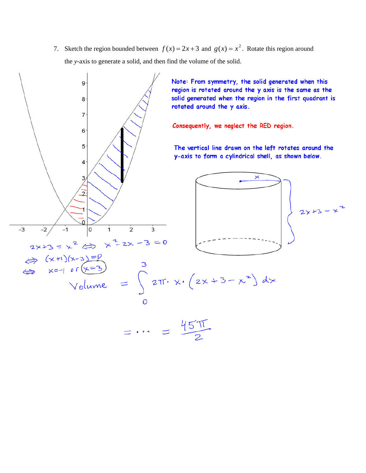7. Sketch the region bounded between  $f(x) = 2x + 3$  and  $g(x) = x^2$ . Rotate this region around the *y*-axis to generate a solid, and then find the volume of the solid.

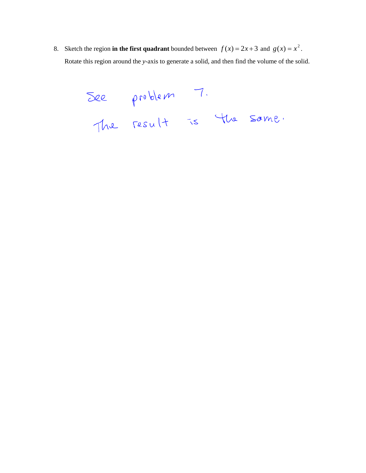8. Sketch the region in the first quadrant bounded between  $f(x) = 2x + 3$  and  $g(x) = x^2$ . Rotate this region around the *y*-axis to generate a solid, and then find the volume of the solid.

See problem 7.<br>The result is the same.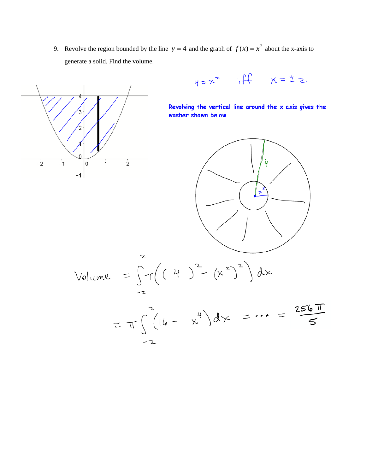9. Revolve the region bounded by the line  $y = 4$  and the graph of  $f(x) = x^2$  about the x-axis to generate a solid. Find the volume.